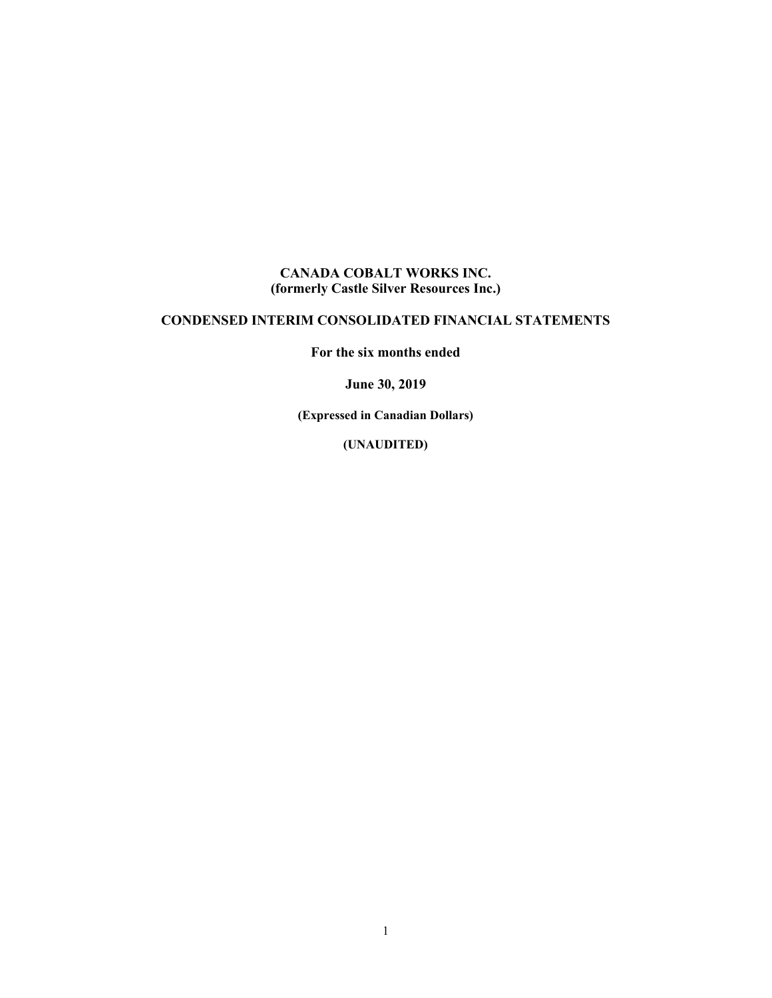#### **CANADA COBALT WORKS INC. (formerly Castle Silver Resources Inc.)**

### **CONDENSED INTERIM CONSOLIDATED FINANCIAL STATEMENTS**

**For the six months ended** 

**June 30, 2019**

**(Expressed in Canadian Dollars)**

**(UNAUDITED)**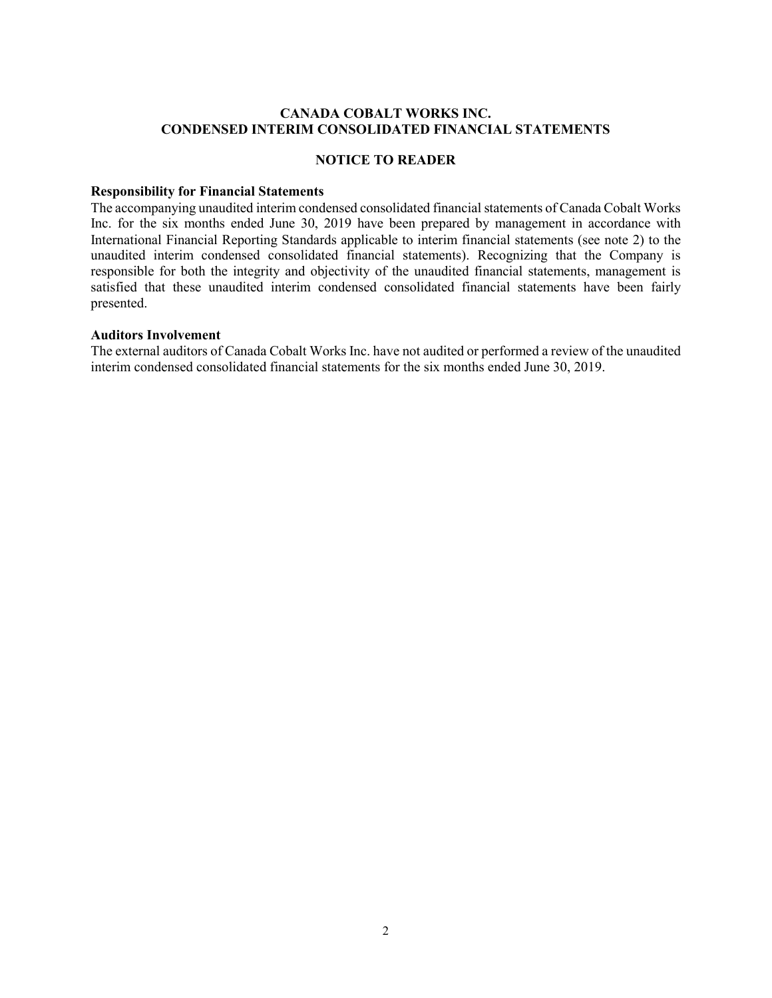#### **CANADA COBALT WORKS INC. CONDENSED INTERIM CONSOLIDATED FINANCIAL STATEMENTS**

#### **NOTICE TO READER**

#### **Responsibility for Financial Statements**

The accompanying unaudited interim condensed consolidated financial statements of Canada Cobalt Works Inc. for the six months ended June 30, 2019 have been prepared by management in accordance with International Financial Reporting Standards applicable to interim financial statements (see note 2) to the unaudited interim condensed consolidated financial statements). Recognizing that the Company is responsible for both the integrity and objectivity of the unaudited financial statements, management is satisfied that these unaudited interim condensed consolidated financial statements have been fairly presented.

#### **Auditors Involvement**

The external auditors of Canada Cobalt Works Inc. have not audited or performed a review of the unaudited interim condensed consolidated financial statements for the six months ended June 30, 2019.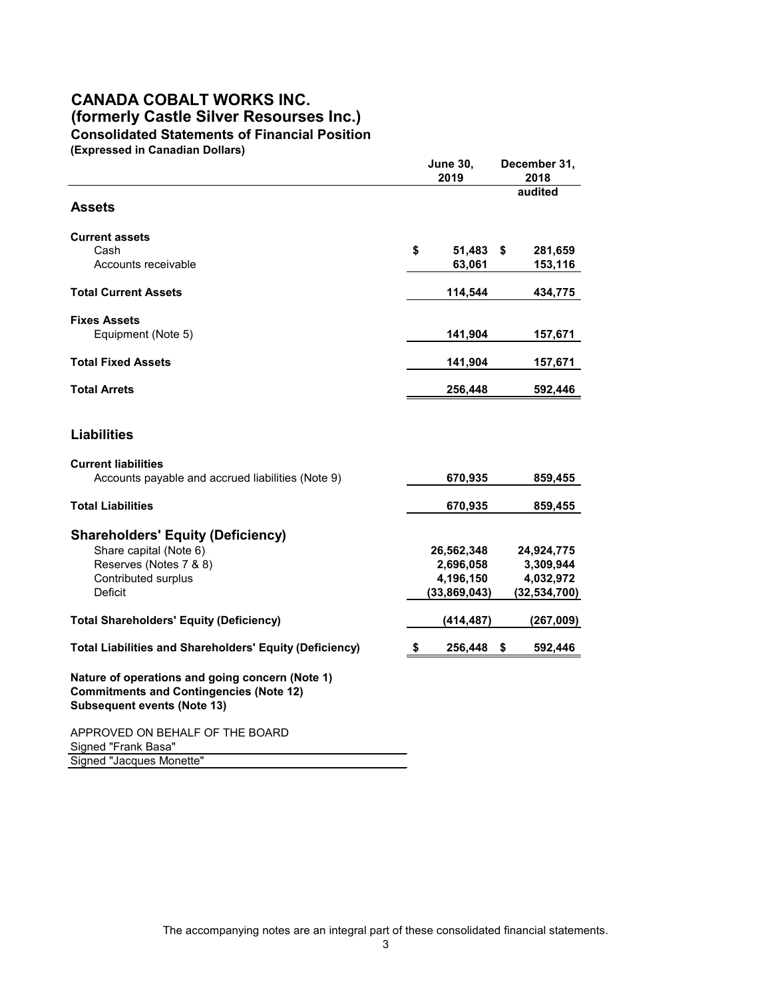### **CANADA COBALT WORKS INC. (formerly Castle Silver Resourses Inc.) Consolidated Statements of Financial Position (Expressed in Canadian Dollars)**

**June 30, December 31, 2019 2018 audited Assets Current assets** Cash **\$ 51,483 \$ 281,659** Accounts receivable **63,061** 153,116 **Total Current Assets 434,775 114,544 434,775 Fixes Assets** Equipment (Note 5) **141,904** 157,671 **Total Fixed Assets 141,904 157,671 Total Arrets 256,448 592,446 Liabilities Current liabilities** Accounts payable and accrued liabilities (Note 9) 670,935 859,455 **Total Liabilities 670,935 859,455 Shareholders' Equity (Deficiency)** Share capital (Note 6) **26,562,348 24,924,775** Reserves (Notes 7 & 8) **2,696,058 3,309,944** Contributed surplus **4,196,150 4,032,972** Deficit **(33,869,043) (32,534,700) Total Shareholders' Equity (Deficiency) (414,487) (267,009) Total Liabilities and Shareholders' Equity (Deficiency) \$ 256,448 \$ 592,446 Nature of operations and going concern (Note 1) Commitments and Contingencies (Note 12) Subsequent events (Note 13)** APPROVED ON BEHALF OF THE BOARD Signed "Frank Basa" Signed "Jacques Monette"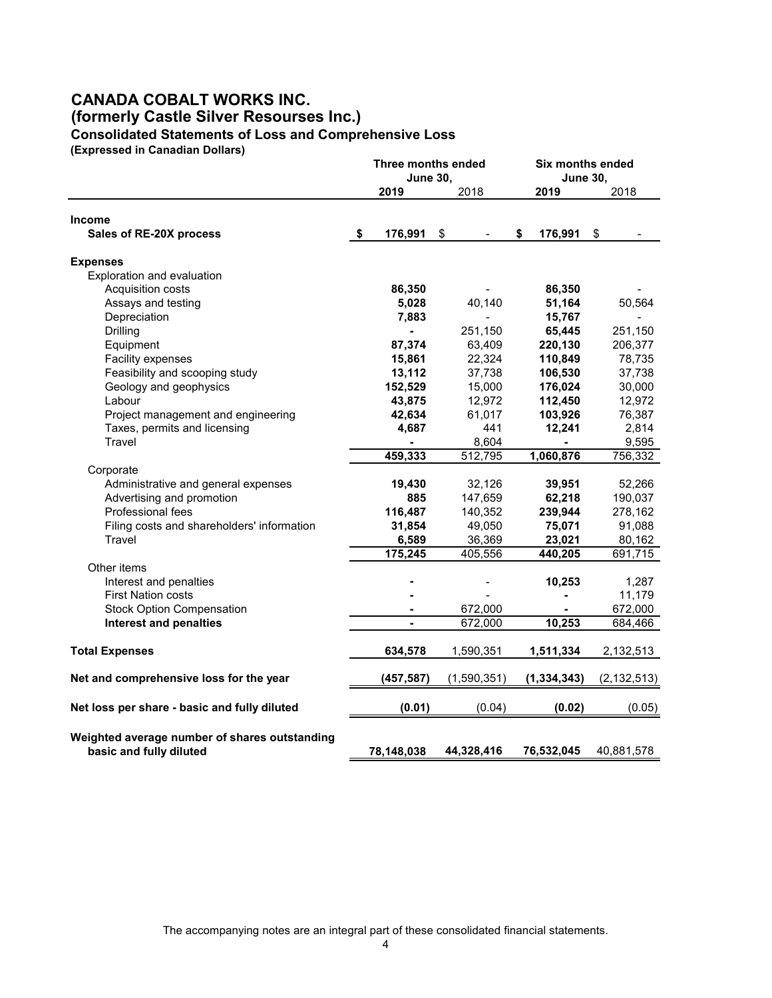# **CANADA COBALT WORKS INC. (formerly Castle Silver Resourses Inc.) Consolidated Statements of Loss and Comprehensive Loss**

**(Expressed in Canadian Dollars)**

|                                                                          |               | <b>Three months ended</b><br><b>June 30,</b> | <b>Six months ended</b><br><b>June 30,</b> |               |
|--------------------------------------------------------------------------|---------------|----------------------------------------------|--------------------------------------------|---------------|
|                                                                          | 2019          | 2018                                         | 2019                                       | 2018          |
| <b>Income</b>                                                            |               |                                              |                                            |               |
| Sales of RE-20X process                                                  | \$<br>176,991 | \$                                           | \$<br>176,991                              | \$            |
| <b>Expenses</b>                                                          |               |                                              |                                            |               |
| Exploration and evaluation                                               |               |                                              |                                            |               |
| Acquisition costs                                                        | 86,350        |                                              | 86,350                                     |               |
| Assays and testing                                                       | 5,028         | 40,140                                       | 51,164                                     | 50,564        |
| Depreciation                                                             | 7,883         |                                              | 15,767                                     |               |
| Drilling                                                                 |               | 251,150                                      | 65,445                                     | 251,150       |
| Equipment                                                                | 87,374        | 63,409                                       | 220,130                                    | 206,377       |
| Facility expenses                                                        | 15,861        | 22,324                                       | 110,849                                    | 78,735        |
| Feasibility and scooping study                                           | 13,112        | 37,738                                       | 106,530                                    | 37,738        |
| Geology and geophysics                                                   | 152,529       | 15,000                                       | 176,024                                    | 30,000        |
| Labour                                                                   | 43,875        | 12,972                                       | 112,450                                    | 12,972        |
| Project management and engineering                                       | 42,634        | 61,017                                       | 103,926                                    | 76,387        |
| Taxes, permits and licensing                                             | 4,687         | 441                                          | 12,241                                     | 2,814         |
| Travel                                                                   |               | 8,604                                        |                                            | 9,595         |
|                                                                          | 459,333       | 512,795                                      | 1,060,876                                  | 756,332       |
| Corporate                                                                |               |                                              |                                            |               |
| Administrative and general expenses                                      | 19,430        | 32,126                                       | 39,951                                     | 52,266        |
| Advertising and promotion                                                | 885           | 147,659                                      | 62,218                                     | 190,037       |
| Professional fees                                                        | 116,487       | 140,352                                      | 239,944                                    | 278,162       |
| Filing costs and shareholders' information                               | 31,854        | 49,050                                       | 75,071                                     | 91,088        |
| <b>Travel</b>                                                            | 6,589         | 36,369                                       | 23,021                                     | 80,162        |
|                                                                          | 175,245       | 405,556                                      | 440,205                                    | 691,715       |
| Other items                                                              |               |                                              |                                            |               |
| Interest and penalties                                                   |               |                                              | 10,253                                     | 1,287         |
| <b>First Nation costs</b>                                                |               |                                              |                                            | 11,179        |
| <b>Stock Option Compensation</b>                                         |               | 672,000                                      |                                            | 672,000       |
| <b>Interest and penalties</b>                                            |               | 672,000                                      | 10,253                                     | 684,466       |
| <b>Total Expenses</b>                                                    | 634,578       | 1,590,351                                    | 1,511,334                                  | 2,132,513     |
| Net and comprehensive loss for the year                                  | (457, 587)    | (1,590,351)                                  | (1, 334, 343)                              | (2, 132, 513) |
| Net loss per share - basic and fully diluted                             | (0.01)        | (0.04)                                       | (0.02)                                     | (0.05)        |
|                                                                          |               |                                              |                                            |               |
| Weighted average number of shares outstanding<br>basic and fully diluted | 78,148,038    | 44,328,416                                   | 76,532,045                                 | 40,881,578    |

The accompanying notes are an integral part of these consolidated financial statements.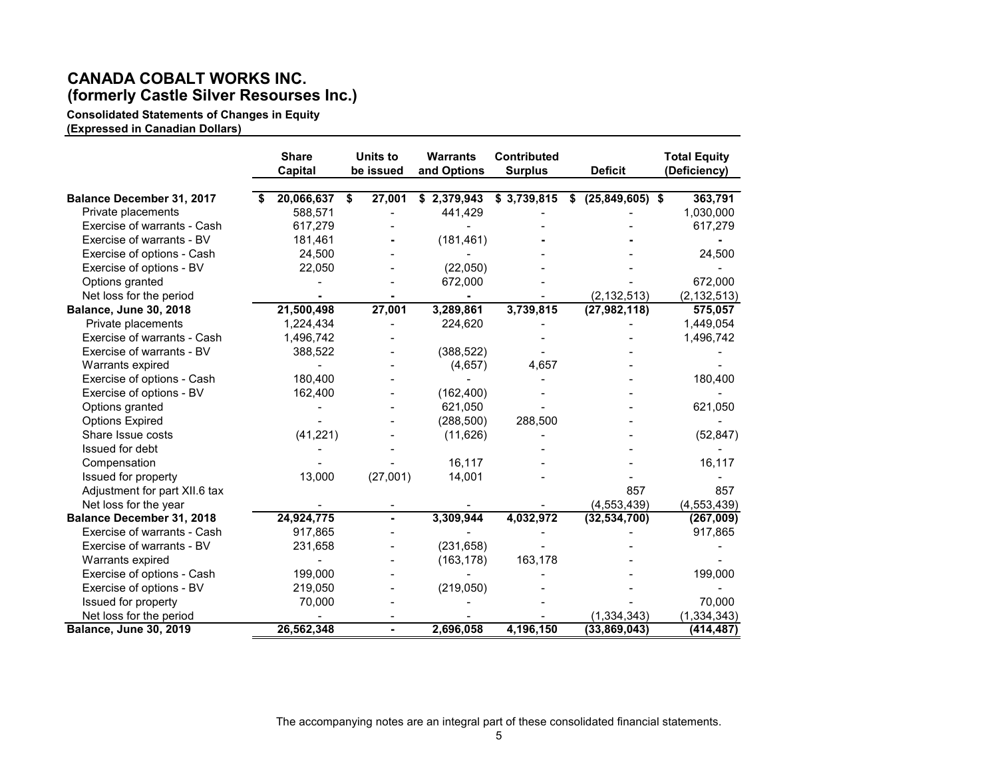# **CANADA COBALT WORKS INC. (formerly Castle Silver Resourses Inc.)**

**Consolidated Statements of Changes in Equity**

**(Expressed in Canadian Dollars)** 

|                                                        | <b>Share</b><br>Capital     | <b>Units to</b><br>be issued | <b>Warrants</b><br>and Options | <b>Contributed</b><br><b>Surplus</b> | <b>Deficit</b>            | <b>Total Equity</b><br>(Deficiency) |
|--------------------------------------------------------|-----------------------------|------------------------------|--------------------------------|--------------------------------------|---------------------------|-------------------------------------|
|                                                        |                             |                              |                                |                                      |                           |                                     |
| <b>Balance December 31, 2017</b><br>Private placements | 20,066,637<br>\$<br>588,571 | 27,001                       | \$2,379,943<br>441,429         | \$3,739,815                          | $(25, 849, 605)$ \$<br>-S | 363,791<br>1,030,000                |
| Exercise of warrants - Cash                            | 617,279                     |                              |                                |                                      |                           | 617,279                             |
| Exercise of warrants - BV                              |                             |                              |                                |                                      |                           |                                     |
|                                                        | 181,461                     |                              | (181, 461)                     |                                      |                           |                                     |
| Exercise of options - Cash                             | 24,500                      |                              |                                |                                      |                           | 24,500                              |
| Exercise of options - BV                               | 22,050                      |                              | (22,050)                       |                                      |                           |                                     |
| Options granted                                        |                             |                              | 672,000                        |                                      |                           | 672,000                             |
| Net loss for the period                                |                             |                              |                                |                                      | (2, 132, 513)             | (2, 132, 513)                       |
| <b>Balance, June 30, 2018</b>                          | 21,500,498                  | 27,001                       | 3,289,861                      | 3,739,815                            | (27, 982, 118)            | 575,057                             |
| Private placements                                     | 1,224,434                   |                              | 224,620                        |                                      |                           | 1,449,054                           |
| Exercise of warrants - Cash                            | 1,496,742                   |                              |                                |                                      |                           | 1,496,742                           |
| Exercise of warrants - BV                              | 388,522                     |                              | (388, 522)                     |                                      |                           |                                     |
| Warrants expired                                       |                             |                              | (4,657)                        | 4,657                                |                           |                                     |
| Exercise of options - Cash                             | 180,400                     |                              |                                |                                      |                           | 180,400                             |
| Exercise of options - BV                               | 162,400                     |                              | (162, 400)                     |                                      |                           |                                     |
| Options granted                                        |                             |                              | 621,050                        |                                      |                           | 621,050                             |
| <b>Options Expired</b>                                 |                             |                              | (288, 500)                     | 288,500                              |                           |                                     |
| Share Issue costs                                      | (41, 221)                   |                              | (11, 626)                      |                                      |                           | (52, 847)                           |
| Issued for debt                                        |                             |                              |                                |                                      |                           |                                     |
| Compensation                                           |                             |                              | 16,117                         |                                      |                           | 16,117                              |
| Issued for property                                    | 13,000                      | (27,001)                     | 14,001                         |                                      |                           |                                     |
| Adjustment for part XII.6 tax                          |                             |                              |                                |                                      | 857                       | 857                                 |
| Net loss for the year                                  |                             |                              |                                |                                      | (4, 553, 439)             | (4, 553, 439)                       |
| <b>Balance December 31, 2018</b>                       | 24,924,775                  |                              | 3,309,944                      | 4,032,972                            | (32, 534, 700)            | (267,009)                           |
| Exercise of warrants - Cash                            | 917,865                     |                              |                                |                                      |                           | 917,865                             |
| Exercise of warrants - BV                              | 231,658                     |                              | (231, 658)                     |                                      |                           |                                     |
| Warrants expired                                       |                             |                              | (163, 178)                     | 163,178                              |                           |                                     |
| Exercise of options - Cash                             | 199,000                     |                              |                                |                                      |                           | 199,000                             |
| Exercise of options - BV                               | 219,050                     |                              | (219,050)                      |                                      |                           |                                     |
| Issued for property                                    | 70,000                      |                              |                                |                                      |                           | 70,000                              |
| Net loss for the period                                |                             |                              |                                |                                      | (1, 334, 343)             | (1, 334, 343)                       |
| <b>Balance, June 30, 2019</b>                          | 26,562,348                  | $\blacksquare$               | 2,696,058                      | 4,196,150                            | (33, 869, 043)            | (414, 487)                          |

The accompanying notes are an integral part of these consolidated financial statements.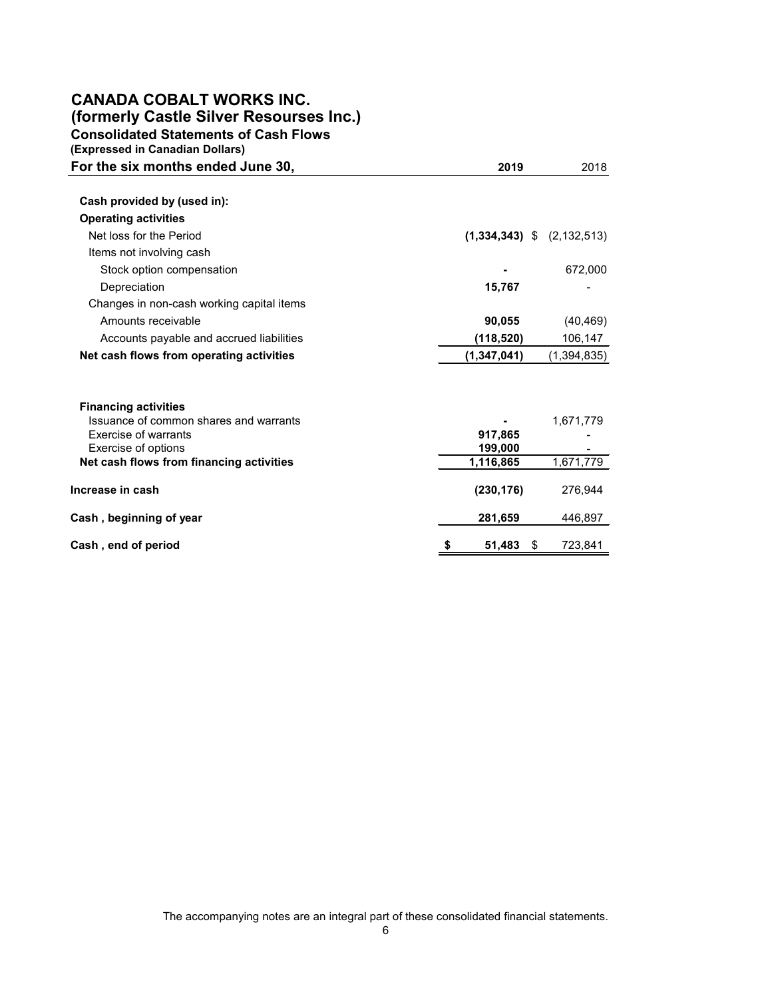# **CANADA COBALT WORKS INC.**

**(formerly Castle Silver Resourses Inc.)**

**Consolidated Statements of Cash Flows**

| (Expressed in Canadian Dollars)           |                                |               |  |
|-------------------------------------------|--------------------------------|---------------|--|
| For the six months ended June 30,         | 2019                           | 2018          |  |
|                                           |                                |               |  |
| Cash provided by (used in):               |                                |               |  |
| <b>Operating activities</b>               |                                |               |  |
| Net loss for the Period                   | $(1,334,343)$ \$ $(2,132,513)$ |               |  |
| Items not involving cash                  |                                |               |  |
| Stock option compensation                 |                                | 672,000       |  |
| Depreciation                              | 15,767                         |               |  |
| Changes in non-cash working capital items |                                |               |  |
| Amounts receivable                        | 90,055                         | (40, 469)     |  |
| Accounts payable and accrued liabilities  | (118, 520)                     | 106,147       |  |
| Net cash flows from operating activities  | (1, 347, 041)                  | (1, 394, 835) |  |
|                                           |                                |               |  |
| <b>Financing activities</b>               |                                |               |  |
| Issuance of common shares and warrants    |                                | 1,671,779     |  |
| <b>Exercise of warrants</b>               | 917,865                        |               |  |
| Exercise of options                       | 199,000                        | 1,671,779     |  |
| Net cash flows from financing activities  | 1,116,865                      |               |  |
| Increase in cash                          | (230, 176)                     | 276,944       |  |
| Cash, beginning of year                   | 281,659                        | 446,897       |  |
| Cash, end of period                       | \$<br>51,483                   | 723,841<br>\$ |  |

The accompanying notes are an integral part of these consolidated financial statements.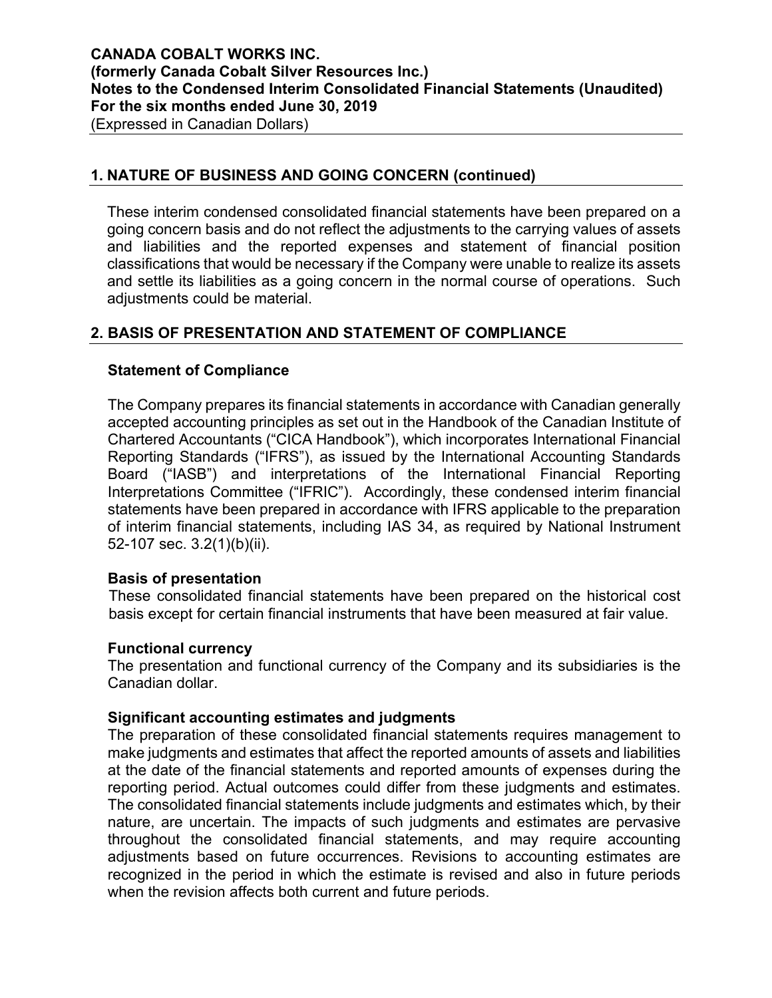### **1. NATURE OF BUSINESS AND GOING CONCERN (continued)**

These interim condensed consolidated financial statements have been prepared on a going concern basis and do not reflect the adjustments to the carrying values of assets and liabilities and the reported expenses and statement of financial position classifications that would be necessary if the Company were unable to realize its assets and settle its liabilities as a going concern in the normal course of operations. Such adjustments could be material.

# **2. BASIS OF PRESENTATION AND STATEMENT OF COMPLIANCE**

### **Statement of Compliance**

The Company prepares its financial statements in accordance with Canadian generally accepted accounting principles as set out in the Handbook of the Canadian Institute of Chartered Accountants ("CICA Handbook"), which incorporates International Financial Reporting Standards ("IFRS"), as issued by the International Accounting Standards Board ("IASB") and interpretations of the International Financial Reporting Interpretations Committee ("IFRIC"). Accordingly, these condensed interim financial statements have been prepared in accordance with IFRS applicable to the preparation of interim financial statements, including IAS 34, as required by National Instrument 52-107 sec. 3.2(1)(b)(ii).

#### **Basis of presentation**

These consolidated financial statements have been prepared on the historical cost basis except for certain financial instruments that have been measured at fair value.

#### **Functional currency**

The presentation and functional currency of the Company and its subsidiaries is the Canadian dollar.

### **Significant accounting estimates and judgments**

The preparation of these consolidated financial statements requires management to make judgments and estimates that affect the reported amounts of assets and liabilities at the date of the financial statements and reported amounts of expenses during the reporting period. Actual outcomes could differ from these judgments and estimates. The consolidated financial statements include judgments and estimates which, by their nature, are uncertain. The impacts of such judgments and estimates are pervasive throughout the consolidated financial statements, and may require accounting adjustments based on future occurrences. Revisions to accounting estimates are recognized in the period in which the estimate is revised and also in future periods when the revision affects both current and future periods.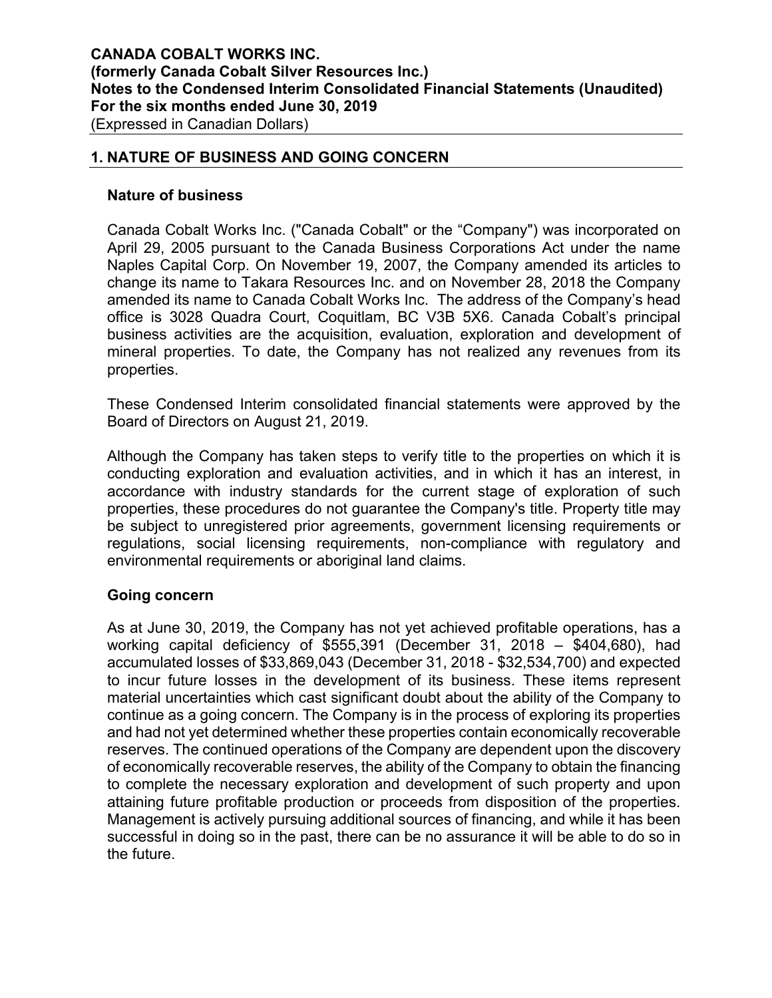### **1. NATURE OF BUSINESS AND GOING CONCERN**

#### **Nature of business**

Canada Cobalt Works Inc. ("Canada Cobalt" or the "Company") was incorporated on April 29, 2005 pursuant to the Canada Business Corporations Act under the name Naples Capital Corp. On November 19, 2007, the Company amended its articles to change its name to Takara Resources Inc. and on November 28, 2018 the Company amended its name to Canada Cobalt Works Inc. The address of the Company's head office is 3028 Quadra Court, Coquitlam, BC V3B 5X6. Canada Cobalt's principal business activities are the acquisition, evaluation, exploration and development of mineral properties. To date, the Company has not realized any revenues from its properties.

These Condensed Interim consolidated financial statements were approved by the Board of Directors on August 21, 2019.

Although the Company has taken steps to verify title to the properties on which it is conducting exploration and evaluation activities, and in which it has an interest, in accordance with industry standards for the current stage of exploration of such properties, these procedures do not guarantee the Company's title. Property title may be subject to unregistered prior agreements, government licensing requirements or regulations, social licensing requirements, non-compliance with regulatory and environmental requirements or aboriginal land claims.

### **Going concern**

As at June 30, 2019, the Company has not yet achieved profitable operations, has a working capital deficiency of \$555,391 (December 31, 2018 – \$404,680), had accumulated losses of \$33,869,043 (December 31, 2018 - \$32,534,700) and expected to incur future losses in the development of its business. These items represent material uncertainties which cast significant doubt about the ability of the Company to continue as a going concern. The Company is in the process of exploring its properties and had not yet determined whether these properties contain economically recoverable reserves. The continued operations of the Company are dependent upon the discovery of economically recoverable reserves, the ability of the Company to obtain the financing to complete the necessary exploration and development of such property and upon attaining future profitable production or proceeds from disposition of the properties. Management is actively pursuing additional sources of financing, and while it has been successful in doing so in the past, there can be no assurance it will be able to do so in the future.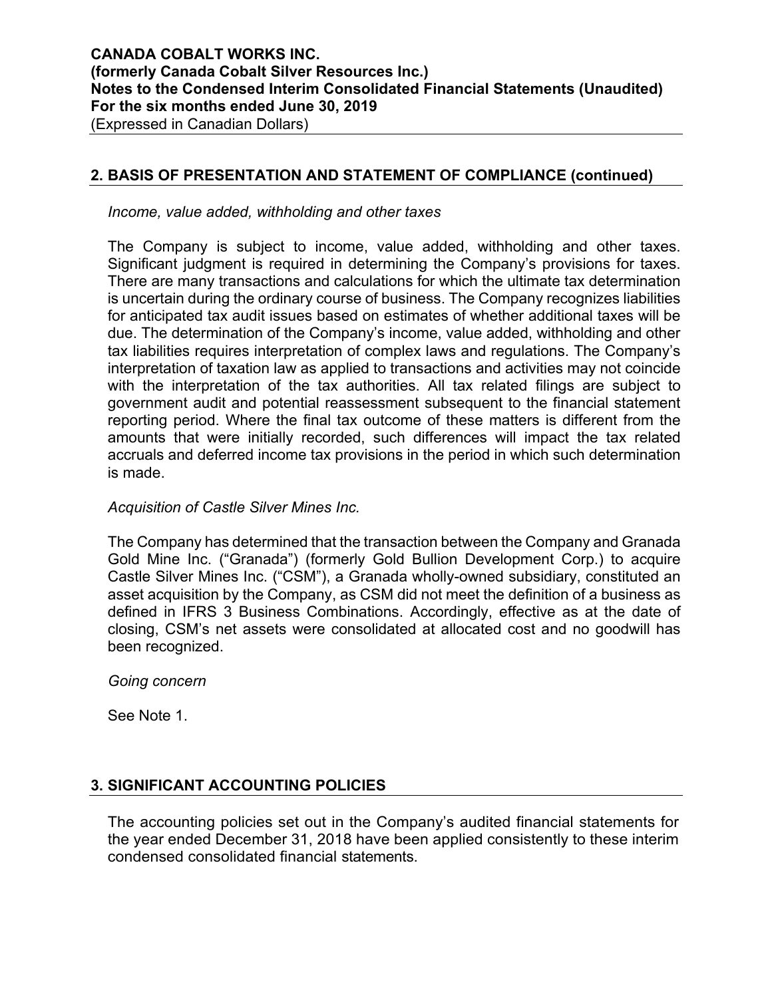### **2. BASIS OF PRESENTATION AND STATEMENT OF COMPLIANCE (continued)**

*Income, value added, withholding and other taxes* 

The Company is subject to income, value added, withholding and other taxes. Significant judgment is required in determining the Company's provisions for taxes. There are many transactions and calculations for which the ultimate tax determination is uncertain during the ordinary course of business. The Company recognizes liabilities for anticipated tax audit issues based on estimates of whether additional taxes will be due. The determination of the Company's income, value added, withholding and other tax liabilities requires interpretation of complex laws and regulations. The Company's interpretation of taxation law as applied to transactions and activities may not coincide with the interpretation of the tax authorities. All tax related filings are subject to government audit and potential reassessment subsequent to the financial statement reporting period. Where the final tax outcome of these matters is different from the amounts that were initially recorded, such differences will impact the tax related accruals and deferred income tax provisions in the period in which such determination is made.

#### *Acquisition of Castle Silver Mines Inc.*

The Company has determined that the transaction between the Company and Granada Gold Mine Inc. ("Granada") (formerly Gold Bullion Development Corp.) to acquire Castle Silver Mines Inc. ("CSM"), a Granada wholly-owned subsidiary, constituted an asset acquisition by the Company, as CSM did not meet the definition of a business as defined in IFRS 3 Business Combinations. Accordingly, effective as at the date of closing, CSM's net assets were consolidated at allocated cost and no goodwill has been recognized.

*Going concern* 

See Note 1.

# **3. SIGNIFICANT ACCOUNTING POLICIES**

The accounting policies set out in the Company's audited financial statements for the year ended December 31, 2018 have been applied consistently to these interim condensed consolidated financial statements.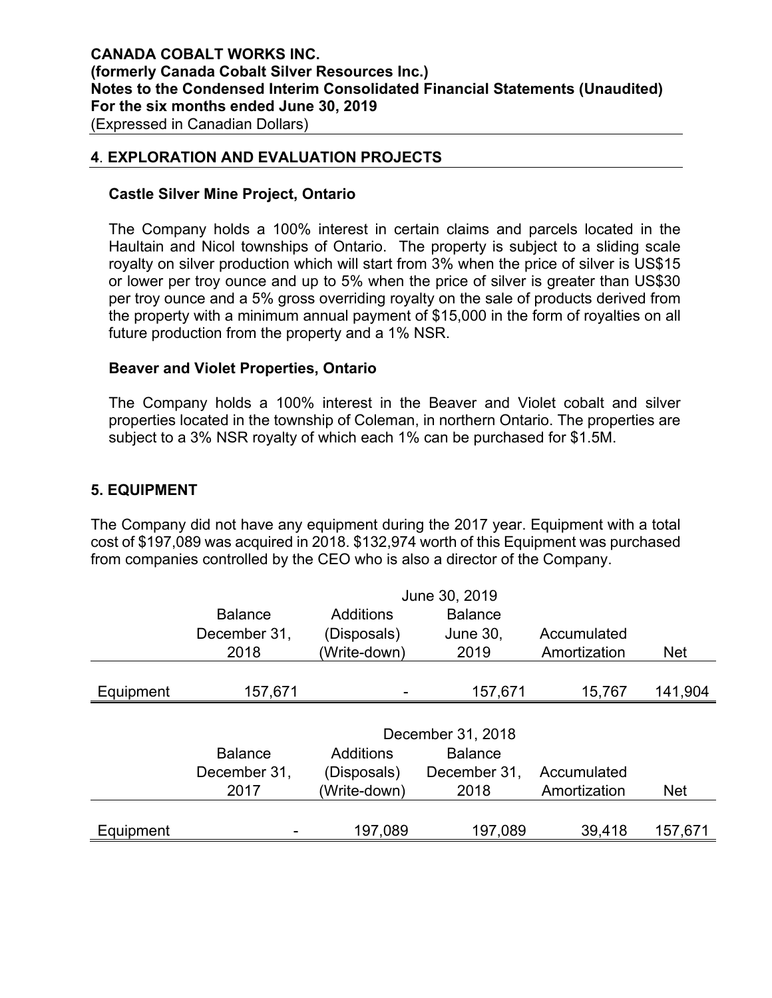### **4**. **EXPLORATION AND EVALUATION PROJECTS**

#### **Castle Silver Mine Project, Ontario**

The Company holds a 100% interest in certain claims and parcels located in the Haultain and Nicol townships of Ontario. The property is subject to a sliding scale royalty on silver production which will start from 3% when the price of silver is US\$15 or lower per troy ounce and up to 5% when the price of silver is greater than US\$30 per troy ounce and a 5% gross overriding royalty on the sale of products derived from the property with a minimum annual payment of \$15,000 in the form of royalties on all future production from the property and a 1% NSR.

#### **Beaver and Violet Properties, Ontario**

The Company holds a 100% interest in the Beaver and Violet cobalt and silver properties located in the township of Coleman, in northern Ontario. The properties are subject to a 3% NSR royalty of which each 1% can be purchased for \$1.5M.

### **5. EQUIPMENT**

The Company did not have any equipment during the 2017 year. Equipment with a total cost of \$197,089 was acquired in 2018. \$132,974 worth of this Equipment was purchased from companies controlled by the CEO who is also a director of the Company.

|           | June 30, 2019  |              |                   |              |            |  |  |  |
|-----------|----------------|--------------|-------------------|--------------|------------|--|--|--|
|           | <b>Balance</b> | Additions    | <b>Balance</b>    |              |            |  |  |  |
|           | December 31,   | (Disposals)  | <b>June 30,</b>   | Accumulated  |            |  |  |  |
|           | 2018           | (Write-down) | 2019              | Amortization | <b>Net</b> |  |  |  |
|           |                |              |                   |              |            |  |  |  |
| Equipment | 157,671        |              | 157,671           | 15,767       | 141,904    |  |  |  |
|           |                |              |                   |              |            |  |  |  |
|           |                |              | December 31, 2018 |              |            |  |  |  |
|           | <b>Balance</b> | Additions    | <b>Balance</b>    |              |            |  |  |  |
|           | December 31,   | (Disposals)  | December 31,      | Accumulated  |            |  |  |  |
|           | 2017           | (Write-down) | 2018              | Amortization | <b>Net</b> |  |  |  |
|           |                |              |                   |              |            |  |  |  |
| Equipment |                | 197,089      | 197,089           | 39,418       | 157,671    |  |  |  |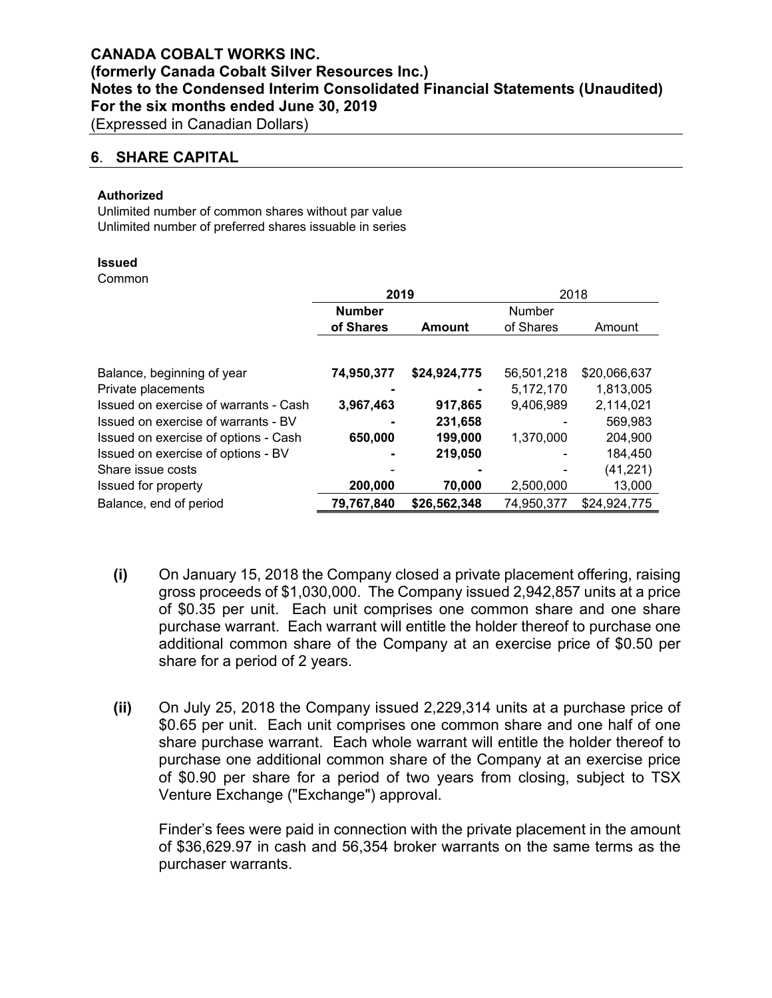#### **6**. **SHARE CAPITAL**

#### **Authorized**

Unlimited number of common shares without par value Unlimited number of preferred shares issuable in series

#### **Issued**

Common

|                                       | 2019          |              | 2018       |              |  |
|---------------------------------------|---------------|--------------|------------|--------------|--|
|                                       | <b>Number</b> |              | Number     |              |  |
|                                       | of Shares     | Amount       | of Shares  | Amount       |  |
|                                       |               |              |            |              |  |
| Balance, beginning of year            | 74,950,377    | \$24,924,775 | 56,501,218 | \$20,066,637 |  |
| Private placements                    |               |              | 5,172,170  | 1,813,005    |  |
| Issued on exercise of warrants - Cash | 3,967,463     | 917,865      | 9,406,989  | 2,114,021    |  |
| Issued on exercise of warrants - BV   |               | 231,658      |            | 569,983      |  |
| Issued on exercise of options - Cash  | 650,000       | 199,000      | 1,370,000  | 204,900      |  |
| Issued on exercise of options - BV    |               | 219,050      |            | 184,450      |  |
| Share issue costs                     |               |              |            | (41, 221)    |  |
| Issued for property                   | 200,000       | 70,000       | 2,500,000  | 13,000       |  |
| Balance, end of period                | 79,767,840    | \$26,562,348 | 74,950,377 | \$24,924,775 |  |

- **(i)** On January 15, 2018 the Company closed a private placement offering, raising gross proceeds of \$1,030,000. The Company issued 2,942,857 units at a price of \$0.35 per unit. Each unit comprises one common share and one share purchase warrant. Each warrant will entitle the holder thereof to purchase one additional common share of the Company at an exercise price of \$0.50 per share for a period of 2 years.
- **(ii)** On July 25, 2018 the Company issued 2,229,314 units at a purchase price of \$0.65 per unit. Each unit comprises one common share and one half of one share purchase warrant. Each whole warrant will entitle the holder thereof to purchase one additional common share of the Company at an exercise price of \$0.90 per share for a period of two years from closing, subject to TSX Venture Exchange ("Exchange") approval.

Finder's fees were paid in connection with the private placement in the amount of \$36,629.97 in cash and 56,354 broker warrants on the same terms as the purchaser warrants.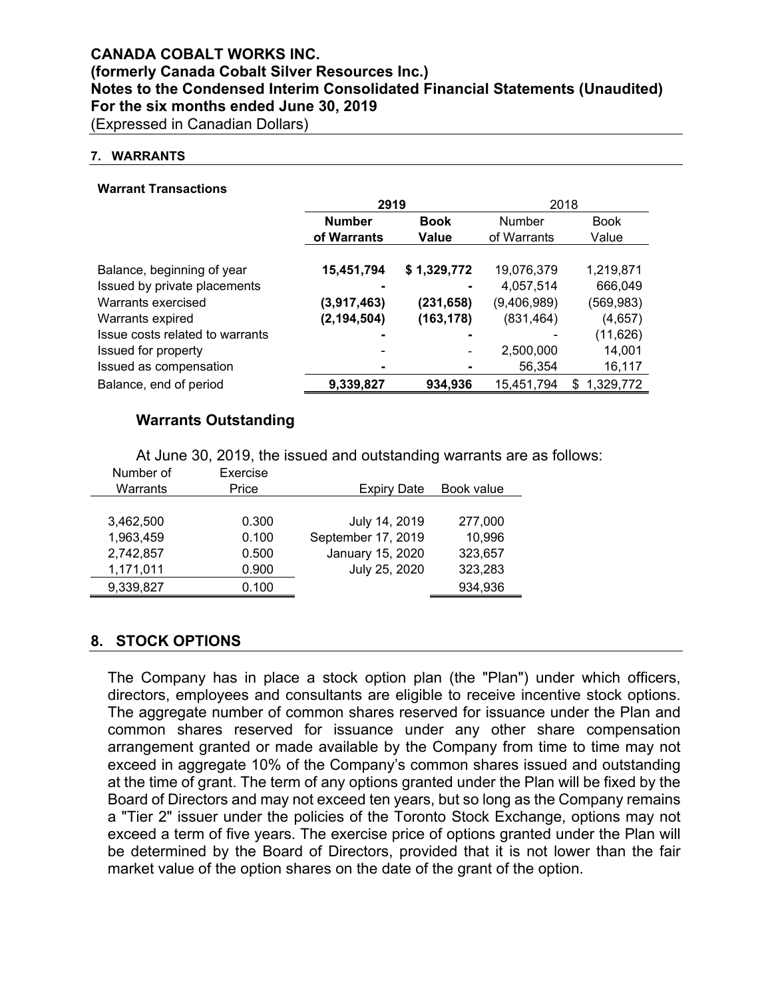# **CANADA COBALT WORKS INC. (formerly Canada Cobalt Silver Resources Inc.) Notes to the Condensed Interim Consolidated Financial Statements (Unaudited) For the six months ended June 30, 2019**

(Expressed in Canadian Dollars)

#### **7. WARRANTS**

#### **Warrant Transactions**

|                                 | 2919          |             | 2018        |                 |
|---------------------------------|---------------|-------------|-------------|-----------------|
|                                 | <b>Number</b> | <b>Book</b> | Number      | <b>Book</b>     |
|                                 | of Warrants   | Value       | of Warrants | Value           |
|                                 |               |             |             |                 |
| Balance, beginning of year      | 15,451,794    | \$1,329,772 | 19,076,379  | 1,219,871       |
| Issued by private placements    |               |             | 4,057,514   | 666,049         |
| Warrants exercised              | (3,917,463)   | (231, 658)  | (9,406,989) | (569, 983)      |
| Warrants expired                | (2, 194, 504) | (163, 178)  | (831, 464)  | (4,657)         |
| Issue costs related to warrants | -             |             |             | (11, 626)       |
| Issued for property             | ۰             |             | 2,500,000   | 14,001          |
| Issued as compensation          | ٠             |             | 56,354      | 16,117          |
| Balance, end of period          | 9,339,827     | 934,936     | 15,451,794  | 1,329,772<br>\$ |

### **Warrants Outstanding**

At June 30, 2019, the issued and outstanding warrants are as follows:

| Number of | Exercise |                    |            |
|-----------|----------|--------------------|------------|
| Warrants  | Price    | <b>Expiry Date</b> | Book value |
|           |          |                    |            |
| 3,462,500 | 0.300    | July 14, 2019      | 277,000    |
| 1,963,459 | 0.100    | September 17, 2019 | 10,996     |
| 2,742,857 | 0.500    | January 15, 2020   | 323,657    |
| 1,171,011 | 0.900    | July 25, 2020      | 323,283    |
| 9,339,827 | 0.100    |                    | 934,936    |
|           |          |                    |            |

### **8. STOCK OPTIONS**

The Company has in place a stock option plan (the "Plan") under which officers, directors, employees and consultants are eligible to receive incentive stock options. The aggregate number of common shares reserved for issuance under the Plan and common shares reserved for issuance under any other share compensation arrangement granted or made available by the Company from time to time may not exceed in aggregate 10% of the Company's common shares issued and outstanding at the time of grant. The term of any options granted under the Plan will be fixed by the Board of Directors and may not exceed ten years, but so long as the Company remains a "Tier 2" issuer under the policies of the Toronto Stock Exchange, options may not exceed a term of five years. The exercise price of options granted under the Plan will be determined by the Board of Directors, provided that it is not lower than the fair market value of the option shares on the date of the grant of the option.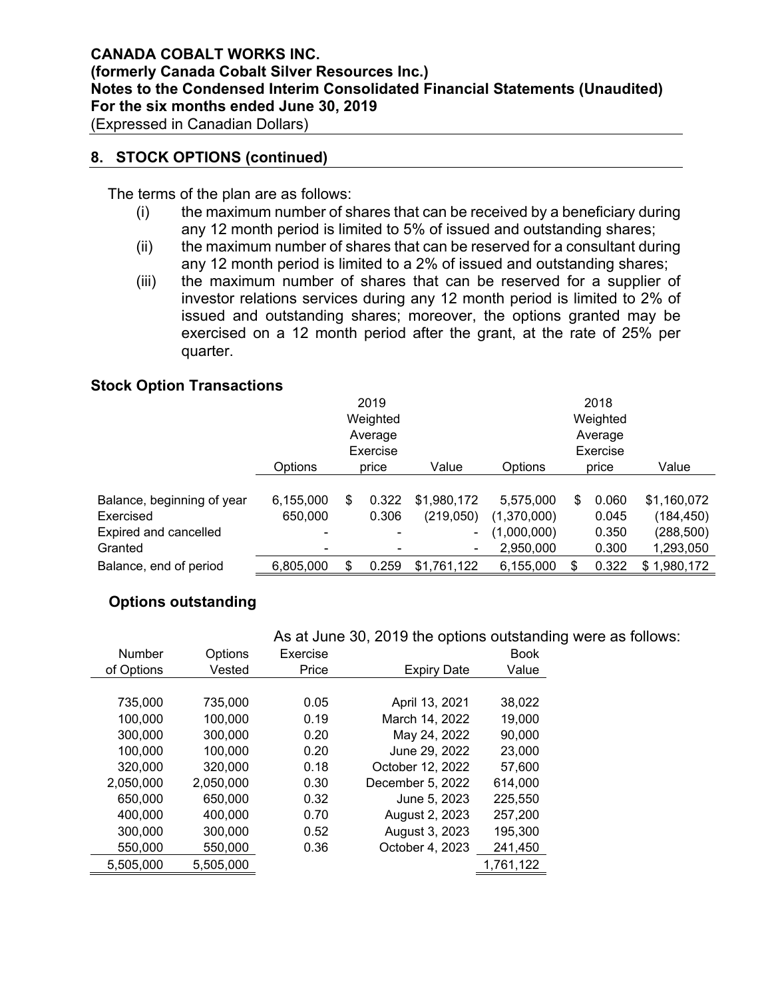(Expressed in Canadian Dollars)

### **8. STOCK OPTIONS (continued)**

The terms of the plan are as follows:

- (i) the maximum number of shares that can be received by a beneficiary during any 12 month period is limited to 5% of issued and outstanding shares;
- (ii) the maximum number of shares that can be reserved for a consultant during any 12 month period is limited to a 2% of issued and outstanding shares;
- (iii) the maximum number of shares that can be reserved for a supplier of investor relations services during any 12 month period is limited to 2% of issued and outstanding shares; moreover, the options granted may be exercised on a 12 month period after the grant, at the rate of 25% per quarter.

### **Stock Option Transactions**

|                            |           | 2019                     |             |             |    | 2018     |             |
|----------------------------|-----------|--------------------------|-------------|-------------|----|----------|-------------|
|                            |           | Weighted                 |             |             |    | Weighted |             |
|                            |           | Average                  |             | Average     |    |          |             |
|                            |           | Exercise                 |             |             |    | Exercise |             |
|                            | Options   | price                    | Value       | Options     |    | price    | Value       |
|                            |           |                          |             |             |    |          |             |
| Balance, beginning of year | 6,155,000 | \$<br>0.322              | \$1,980,172 | 5,575,000   | S  | 0.060    | \$1,160,072 |
| Exercised                  | 650,000   | 0.306                    | (219,050)   | (1,370,000) |    | 0.045    | (184, 450)  |
| Expired and cancelled      |           | $\overline{\phantom{0}}$ |             | (1,000,000) |    | 0.350    | (288,500)   |
| Granted                    |           |                          |             | 2,950,000   |    | 0.300    | 1,293,050   |
| Balance, end of period     | 6,805,000 | \$<br>0.259              | \$1,761,122 | 6,155,000   | \$ | 0.322    | \$1,980,172 |

# **Options outstanding**

### As at June 30, 2019 the options outstanding were as follows:

| <b>Number</b> | Options   | Exercise |                    | <b>Book</b> |
|---------------|-----------|----------|--------------------|-------------|
| of Options    | Vested    | Price    | <b>Expiry Date</b> | Value       |
|               |           |          |                    |             |
| 735,000       | 735,000   | 0.05     | April 13, 2021     | 38,022      |
| 100,000       | 100,000   | 0.19     | March 14, 2022     | 19,000      |
| 300,000       | 300,000   | 0.20     | May 24, 2022       | 90,000      |
| 100,000       | 100,000   | 0.20     | June 29, 2022      | 23,000      |
| 320,000       | 320,000   | 0.18     | October 12, 2022   | 57,600      |
| 2,050,000     | 2,050,000 | 0.30     | December 5, 2022   | 614,000     |
| 650,000       | 650,000   | 0.32     | June 5, 2023       | 225,550     |
| 400,000       | 400,000   | 0.70     | August 2, 2023     | 257,200     |
| 300,000       | 300,000   | 0.52     | August 3, 2023     | 195,300     |
| 550,000       | 550,000   | 0.36     | October 4, 2023    | 241,450     |
| 5,505,000     | 5,505,000 |          |                    | 1,761,122   |
|               |           |          |                    |             |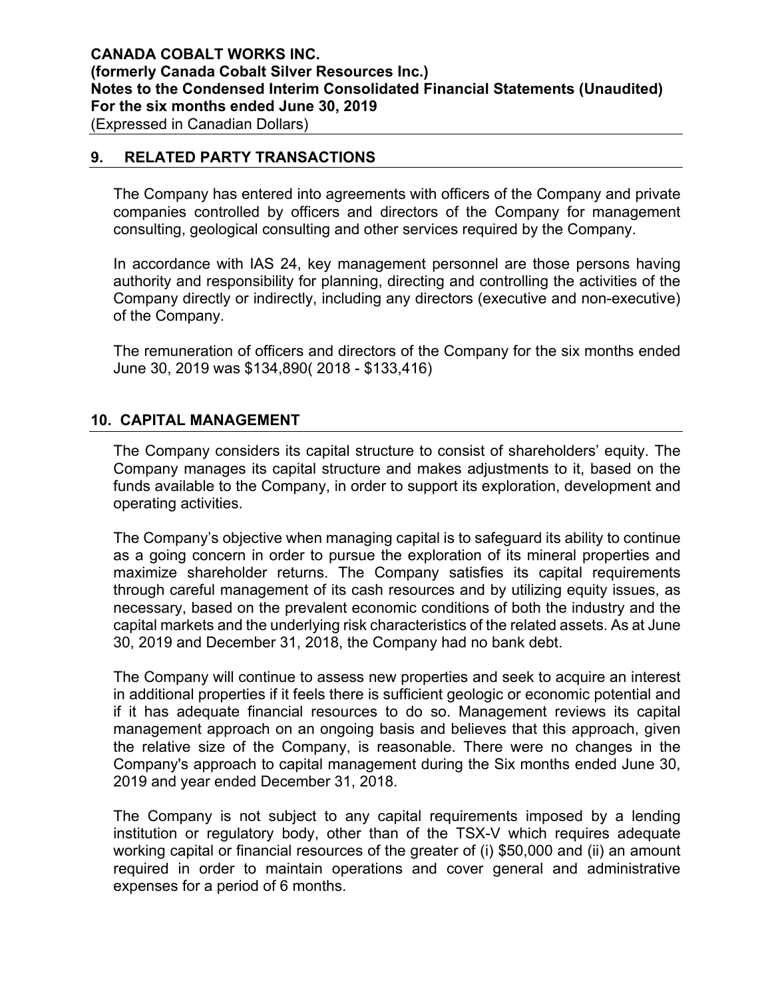### **9. RELATED PARTY TRANSACTIONS**

The Company has entered into agreements with officers of the Company and private companies controlled by officers and directors of the Company for management consulting, geological consulting and other services required by the Company.

In accordance with IAS 24, key management personnel are those persons having authority and responsibility for planning, directing and controlling the activities of the Company directly or indirectly, including any directors (executive and non-executive) of the Company.

The remuneration of officers and directors of the Company for the six months ended June 30, 2019 was \$134,890( 2018 - \$133,416)

### **10. CAPITAL MANAGEMENT**

The Company considers its capital structure to consist of shareholders' equity. The Company manages its capital structure and makes adjustments to it, based on the funds available to the Company, in order to support its exploration, development and operating activities.

The Company's objective when managing capital is to safeguard its ability to continue as a going concern in order to pursue the exploration of its mineral properties and maximize shareholder returns. The Company satisfies its capital requirements through careful management of its cash resources and by utilizing equity issues, as necessary, based on the prevalent economic conditions of both the industry and the capital markets and the underlying risk characteristics of the related assets. As at June 30, 2019 and December 31, 2018, the Company had no bank debt.

The Company will continue to assess new properties and seek to acquire an interest in additional properties if it feels there is sufficient geologic or economic potential and if it has adequate financial resources to do so. Management reviews its capital management approach on an ongoing basis and believes that this approach, given the relative size of the Company, is reasonable. There were no changes in the Company's approach to capital management during the Six months ended June 30, 2019 and year ended December 31, 2018.

The Company is not subject to any capital requirements imposed by a lending institution or regulatory body, other than of the TSX-V which requires adequate working capital or financial resources of the greater of (i) \$50,000 and (ii) an amount required in order to maintain operations and cover general and administrative expenses for a period of 6 months.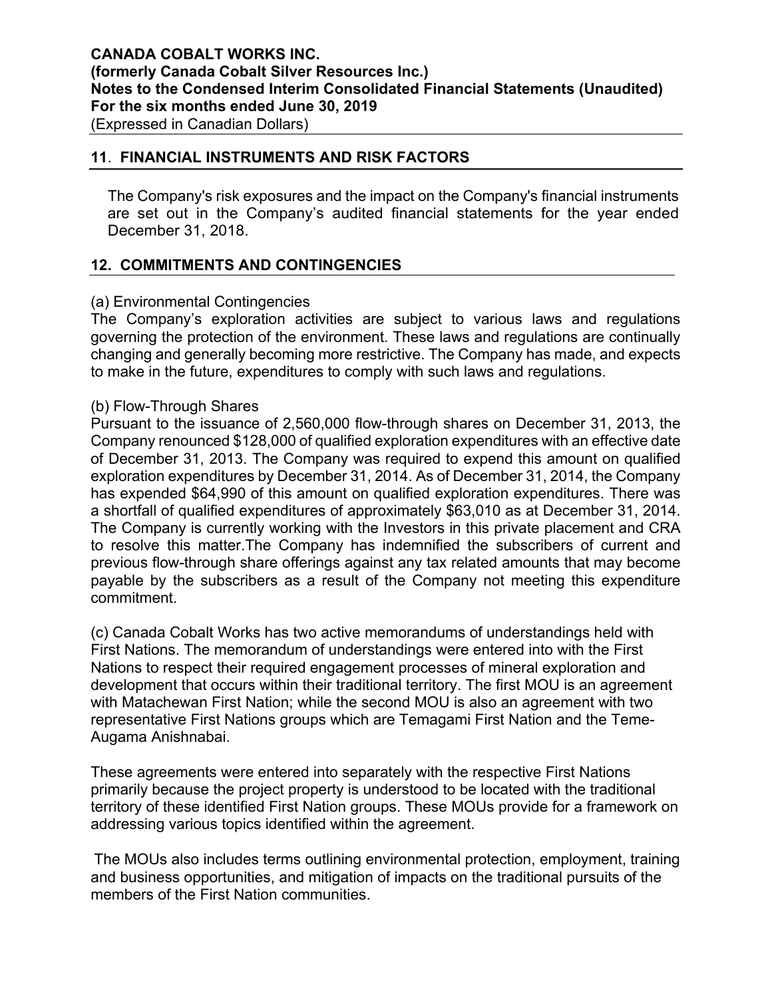### **11**. **FINANCIAL INSTRUMENTS AND RISK FACTORS**

The Company's risk exposures and the impact on the Company's financial instruments are set out in the Company's audited financial statements for the year ended December 31, 2018.

# **12. COMMITMENTS AND CONTINGENCIES**

### (a) Environmental Contingencies

The Company's exploration activities are subject to various laws and regulations governing the protection of the environment. These laws and regulations are continually changing and generally becoming more restrictive. The Company has made, and expects to make in the future, expenditures to comply with such laws and regulations.

### (b) Flow-Through Shares

Pursuant to the issuance of 2,560,000 flow-through shares on December 31, 2013, the Company renounced \$128,000 of qualified exploration expenditures with an effective date of December 31, 2013. The Company was required to expend this amount on qualified exploration expenditures by December 31, 2014. As of December 31, 2014, the Company has expended \$64,990 of this amount on qualified exploration expenditures. There was a shortfall of qualified expenditures of approximately \$63,010 as at December 31, 2014. The Company is currently working with the Investors in this private placement and CRA to resolve this matter.The Company has indemnified the subscribers of current and previous flow-through share offerings against any tax related amounts that may become payable by the subscribers as a result of the Company not meeting this expenditure commitment.

(c) Canada Cobalt Works has two active memorandums of understandings held with First Nations. The memorandum of understandings were entered into with the First Nations to respect their required engagement processes of mineral exploration and development that occurs within their traditional territory. The first MOU is an agreement with Matachewan First Nation; while the second MOU is also an agreement with two representative First Nations groups which are Temagami First Nation and the Teme-Augama Anishnabai.

These agreements were entered into separately with the respective First Nations primarily because the project property is understood to be located with the traditional territory of these identified First Nation groups. These MOUs provide for a framework on addressing various topics identified within the agreement.

The MOUs also includes terms outlining environmental protection, employment, training and business opportunities, and mitigation of impacts on the traditional pursuits of the members of the First Nation communities.